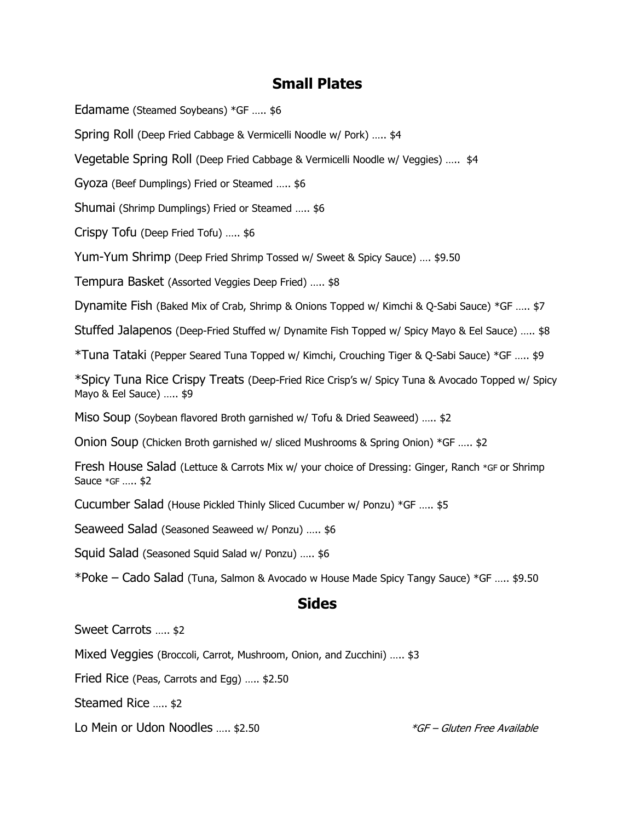## **Small Plates**

Edamame (Steamed Soybeans) \*GF ….. \$6

Spring Roll (Deep Fried Cabbage & Vermicelli Noodle w/ Pork) ….. \$4

Vegetable Spring Roll (Deep Fried Cabbage & Vermicelli Noodle w/ Veggies) ….. \$4

Gyoza (Beef Dumplings) Fried or Steamed ….. \$6

Shumai (Shrimp Dumplings) Fried or Steamed ….. \$6

Crispy Tofu (Deep Fried Tofu) ….. \$6

Yum-Yum Shrimp (Deep Fried Shrimp Tossed w/ Sweet & Spicy Sauce) …. \$9.50

Tempura Basket (Assorted Veggies Deep Fried) ….. \$8

Dynamite Fish (Baked Mix of Crab, Shrimp & Onions Topped w/ Kimchi & Q-Sabi Sauce) \*GF ….. \$7

Stuffed Jalapenos (Deep-Fried Stuffed w/ Dynamite Fish Topped w/ Spicy Mayo & Eel Sauce) ….. \$8

\*Tuna Tataki (Pepper Seared Tuna Topped w/ Kimchi, Crouching Tiger & Q-Sabi Sauce) \*GF ….. \$9

\*Spicy Tuna Rice Crispy Treats (Deep-Fried Rice Crisp's w/ Spicy Tuna & Avocado Topped w/ Spicy Mayo & Eel Sauce) ….. \$9

Miso Soup (Soybean flavored Broth garnished w/ Tofu & Dried Seaweed) ….. \$2

Onion Soup (Chicken Broth garnished w/ sliced Mushrooms & Spring Onion) \*GF ….. \$2

Fresh House Salad (Lettuce & Carrots Mix w/ your choice of Dressing: Ginger, Ranch \*GF or Shrimp Sauce \*GF ….. \$2

Cucumber Salad (House Pickled Thinly Sliced Cucumber w/ Ponzu) \*GF ….. \$5

Seaweed Salad (Seasoned Seaweed w/ Ponzu) ….. \$6

Squid Salad (Seasoned Squid Salad w/ Ponzu) ….. \$6

\*Poke – Cado Salad (Tuna, Salmon & Avocado w House Made Spicy Tangy Sauce) \*GF ….. \$9.50

#### **Sides**

Sweet Carrots ….. \$2

Mixed Veggies (Broccoli, Carrot, Mushroom, Onion, and Zucchini) ….. \$3

Fried Rice (Peas, Carrots and Egg) ….. \$2.50

Steamed Rice ….. \$2

Lo Mein or Udon Noodles ..... \$2.50 **Example 20 and Secure 1** and the *SGF – Gluten Free Available*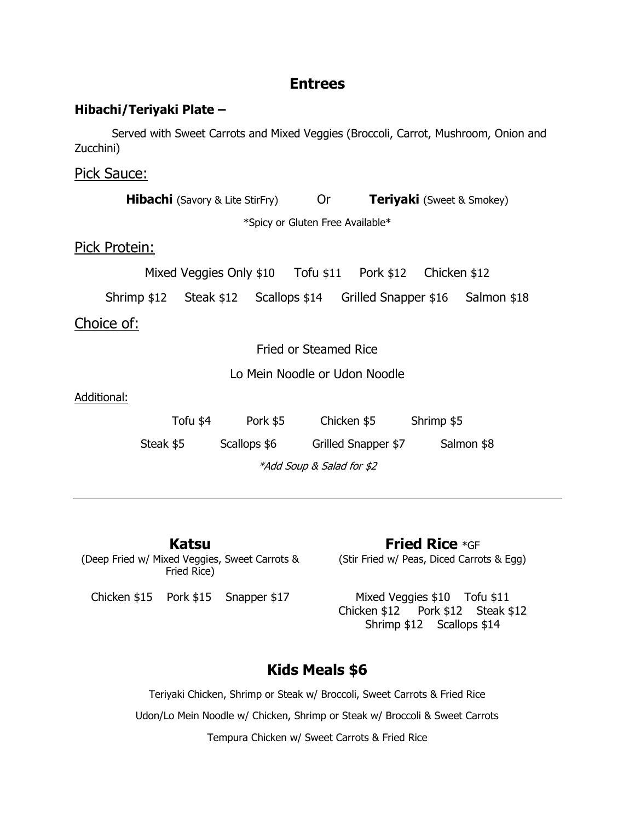## **Entrees**

#### **Hibachi/Teriyaki Plate –**

Served with Sweet Carrots and Mixed Veggies (Broccoli, Carrot, Mushroom, Onion and Zucchini)

Pick Sauce:

**Hibachi** (Savory & Lite StirFry) Or **Teriyaki** (Sweet & Smokey) \*Spicy or Gluten Free Available\* Pick Protein: Mixed Veggies Only \$10 Tofu \$11 Pork \$12 Chicken \$12 Shrimp \$12 Steak \$12 Scallops \$14 Grilled Snapper \$16 Salmon \$18 Choice of: Fried or Steamed Rice Lo Mein Noodle or Udon Noodle Additional: Tofu \$4 Pork \$5 Chicken \$5 Shrimp \$5

Steak \$5 Scallops \$6 Grilled Snapper \$7 Salmon \$8

\*Add Soup & Salad for \$2

**Katsu**  (Deep Fried w/ Mixed Veggies, Sweet Carrots & Fried Rice)

**Fried Rice** \*GF (Stir Fried w/ Peas, Diced Carrots & Egg)

Chicken \$15 Pork \$15 Snapper \$17 Mixed Veggies \$10 Tofu \$11 Chicken \$12 Pork \$12 Steak \$12 Shrimp \$12 Scallops \$14

# **Kids Meals \$6**

Teriyaki Chicken, Shrimp or Steak w/ Broccoli, Sweet Carrots & Fried Rice Udon/Lo Mein Noodle w/ Chicken, Shrimp or Steak w/ Broccoli & Sweet Carrots Tempura Chicken w/ Sweet Carrots & Fried Rice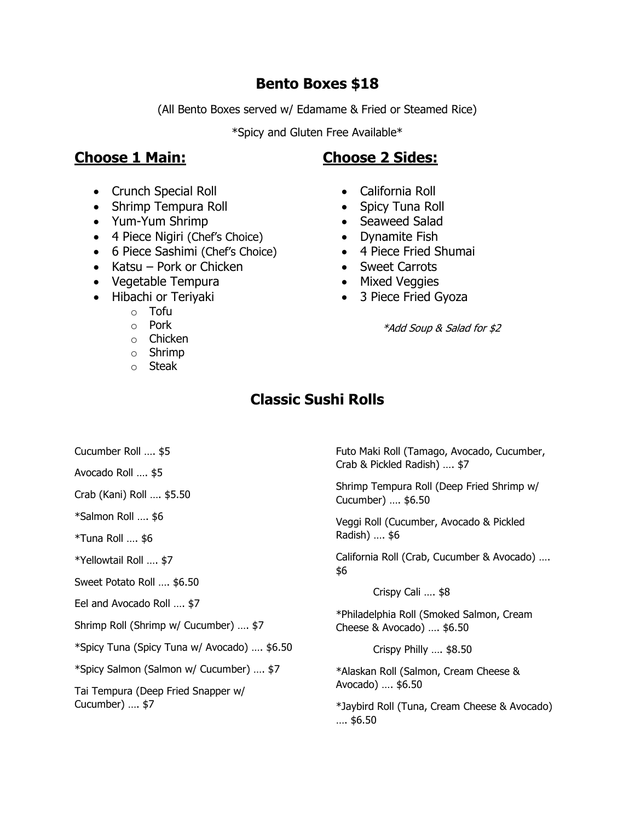## **Bento Boxes \$18**

(All Bento Boxes served w/ Edamame & Fried or Steamed Rice)

\*Spicy and Gluten Free Available\*

# **Choose 1 Main:**

### • Crunch Special Roll

- Shrimp Tempura Roll
- Yum-Yum Shrimp
- 4 Piece Nigiri (Chef's Choice)
- 6 Piece Sashimi (Chef's Choice)
- Katsu Pork or Chicken
- Vegetable Tempura
- Hibachi or Teriyaki
	- o Tofu
	- o Pork
	- o Chicken
	- o Shrimp
	- o Steak

# **Choose 2 Sides:**

- California Roll
- Spicy Tuna Roll
- Seaweed Salad
- Dynamite Fish
- 4 Piece Fried Shumai
- Sweet Carrots
- Mixed Veggies
- 3 Piece Fried Gyoza

\*Add Soup & Salad for \$2

# **Classic Sushi Rolls**

- Cucumber Roll …. \$5
- Avocado Roll …. \$5

Crab (Kani) Roll …. \$5.50

\*Salmon Roll …. \$6

\*Tuna Roll …. \$6

\*Yellowtail Roll …. \$7

Sweet Potato Roll …. \$6.50

Eel and Avocado Roll …. \$7

Shrimp Roll (Shrimp w/ Cucumber) …. \$7

\*Spicy Tuna (Spicy Tuna w/ Avocado) …. \$6.50

\*Spicy Salmon (Salmon w/ Cucumber) …. \$7

Tai Tempura (Deep Fried Snapper w/ Cucumber) …. \$7

Futo Maki Roll (Tamago, Avocado, Cucumber, Crab & Pickled Radish) …. \$7

Shrimp Tempura Roll (Deep Fried Shrimp w/ Cucumber) …. \$6.50

Veggi Roll (Cucumber, Avocado & Pickled Radish) …. \$6

California Roll (Crab, Cucumber & Avocado) …. \$6

Crispy Cali …. \$8

\*Philadelphia Roll (Smoked Salmon, Cream Cheese & Avocado) …. \$6.50

Crispy Philly …. \$8.50

\*Alaskan Roll (Salmon, Cream Cheese & Avocado) …. \$6.50

\*Jaybird Roll (Tuna, Cream Cheese & Avocado) …. \$6.50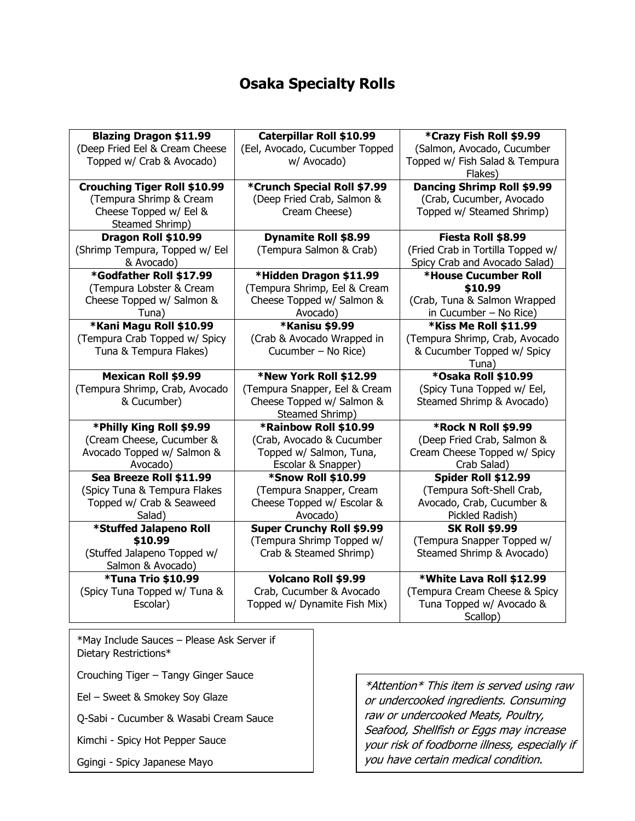# **Osaka Specialty Rolls**

| <b>Blazing Dragon \$11.99</b>       | Caterpillar Roll \$10.99         | *Crazy Fish Roll \$9.99           |  |
|-------------------------------------|----------------------------------|-----------------------------------|--|
| (Deep Fried Eel & Cream Cheese      | (Eel, Avocado, Cucumber Topped   | (Salmon, Avocado, Cucumber        |  |
| Topped w/ Crab & Avocado)           | w/ Avocado)                      | Topped w/ Fish Salad & Tempura    |  |
|                                     |                                  | Flakes)                           |  |
| <b>Crouching Tiger Roll \$10.99</b> | *Crunch Special Roll \$7.99      | Dancing Shrimp Roll \$9.99        |  |
| (Tempura Shrimp & Cream             | (Deep Fried Crab, Salmon &       | (Crab, Cucumber, Avocado          |  |
| Cheese Topped w/ Eel &              | Cream Cheese)                    | Topped w/ Steamed Shrimp)         |  |
| Steamed Shrimp)                     |                                  |                                   |  |
| Dragon Roll \$10.99                 | <b>Dynamite Roll \$8.99</b>      | Fiesta Roll \$8.99                |  |
| (Shrimp Tempura, Topped w/ Eel      | (Tempura Salmon & Crab)          | (Fried Crab in Tortilla Topped w/ |  |
| & Avocado)                          |                                  | Spicy Crab and Avocado Salad)     |  |
| *Godfather Roll \$17.99             | *Hidden Dragon \$11.99           | *House Cucumber Roll              |  |
| (Tempura Lobster & Cream            | (Tempura Shrimp, Eel & Cream     | \$10.99                           |  |
| Cheese Topped w/ Salmon &           | Cheese Topped w/ Salmon &        | (Crab, Tuna & Salmon Wrapped      |  |
| Tuna)                               | Avocado)                         | in Cucumber $-$ No Rice)          |  |
| *Kani Magu Roll \$10.99             | <b>*Kanisu \$9.99</b>            | *Kiss Me Roll \$11.99             |  |
| (Tempura Crab Topped w/ Spicy       | (Crab & Avocado Wrapped in       | (Tempura Shrimp, Crab, Avocado    |  |
| Tuna & Tempura Flakes)              | Cucumber - No Rice)              | & Cucumber Topped w/ Spicy        |  |
|                                     |                                  | Tuna)                             |  |
| <b>Mexican Roll \$9.99</b>          | *New York Roll \$12.99           | *Osaka Roll \$10.99               |  |
| (Tempura Shrimp, Crab, Avocado      | (Tempura Snapper, Eel & Cream    | (Spicy Tuna Topped w/ Eel,        |  |
| & Cucumber)                         | Cheese Topped w/ Salmon &        | Steamed Shrimp & Avocado)         |  |
|                                     | Steamed Shrimp)                  |                                   |  |
| *Philly King Roll \$9.99            | *Rainbow Roll \$10.99            | <b>*Rock N Roll \$9.99</b>        |  |
| (Cream Cheese, Cucumber &           | (Crab, Avocado & Cucumber        | (Deep Fried Crab, Salmon &        |  |
| Avocado Topped w/ Salmon &          | Topped w/ Salmon, Tuna,          | Cream Cheese Topped w/ Spicy      |  |
| Avocado)                            | Escolar & Snapper)               | Crab Salad)                       |  |
| Sea Breeze Roll \$11.99             | <b>*Snow Roll \$10.99</b>        | Spider Roll \$12.99               |  |
| (Spicy Tuna & Tempura Flakes        | (Tempura Snapper, Cream          | (Tempura Soft-Shell Crab,         |  |
| Topped w/ Crab & Seaweed            | Cheese Topped w/ Escolar &       | Avocado, Crab, Cucumber &         |  |
| Salad)                              | Avocado)                         | Pickled Radish)                   |  |
| *Stuffed Jalapeno Roll              | <b>Super Crunchy Roll \$9.99</b> | <b>SK Roll \$9.99</b>             |  |
| \$10.99                             | (Tempura Shrimp Topped w/        | (Tempura Snapper Topped w/        |  |
| (Stuffed Jalapeno Topped w/         | Crab & Steamed Shrimp)           | Steamed Shrimp & Avocado)         |  |
| Salmon & Avocado)                   |                                  |                                   |  |
| <b>*Tuna Trio \$10.99</b>           | <b>Volcano Roll \$9.99</b>       | *White Lava Roll \$12.99          |  |
| (Spicy Tuna Topped w/ Tuna &        | Crab, Cucumber & Avocado         | (Tempura Cream Cheese & Spicy     |  |
| Escolar)                            | Topped w/ Dynamite Fish Mix)     | Tuna Topped w/ Avocado &          |  |
|                                     |                                  | Scallop)                          |  |

\*May Include Sauces – Please Ask Server if Dietary Restrictions\*

Crouching Tiger – Tangy Ginger Sauce

Eel – Sweet & Smokey Soy Glaze

Q-Sabi - Cucumber & Wasabi Cream Sauce

Kimchi - Spicy Hot Pepper Sauce

Ggingi - Spicy Japanese Mayo

\*Attention\* This item is served using raw or undercooked ingredients. Consuming raw or undercooked Meats, Poultry, Seafood, Shellfish or Eggs may increase your risk of foodborne illness, especially if you have certain medical condition.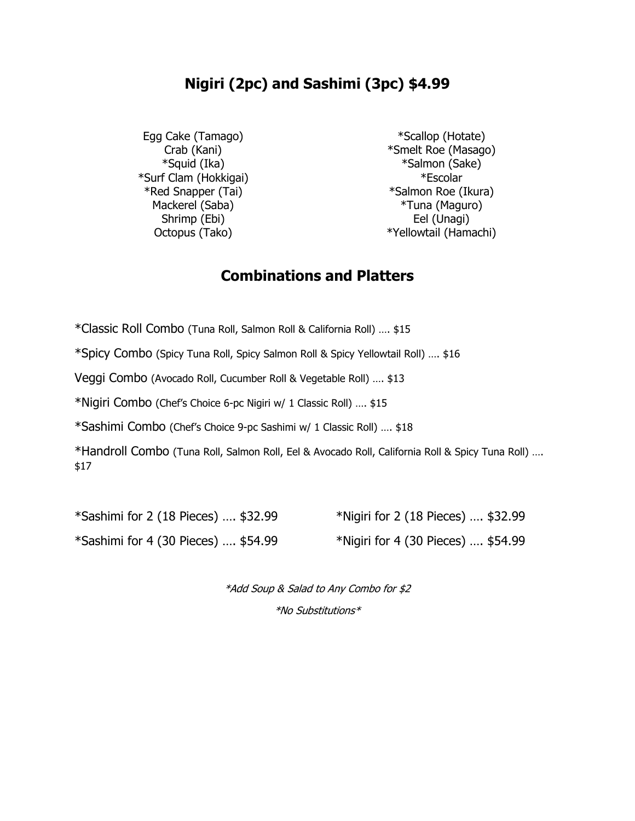# **Nigiri (2pc) and Sashimi (3pc) \$4.99**

Egg Cake (Tamago) \*Scallop (Hotate) \*Surf Clam (Hokkigai) \*Escolar Shrimp (Ebi) Eel (Unagi)

Crab (Kani) **Example 2** \* Smelt Roe (Masago) \*Squid (Ika) \*Salmon (Sake) \*Red Snapper (Tai) \*Salmon Roe (Ikura) Mackerel (Saba) **\*Tuna (Maguro)** Octopus (Tako)  $*Y$ ellowtail (Hamachi)

## **Combinations and Platters**

\*Classic Roll Combo (Tuna Roll, Salmon Roll & California Roll) …. \$15

\*Spicy Combo (Spicy Tuna Roll, Spicy Salmon Roll & Spicy Yellowtail Roll) …. \$16

Veggi Combo (Avocado Roll, Cucumber Roll & Vegetable Roll) …. \$13

\*Nigiri Combo (Chef's Choice 6-pc Nigiri w/ 1 Classic Roll) …. \$15

\*Sashimi Combo (Chef's Choice 9-pc Sashimi w/ 1 Classic Roll) …. \$18

\*Handroll Combo (Tuna Roll, Salmon Roll, Eel & Avocado Roll, California Roll & Spicy Tuna Roll) …. \$17

\*Sashimi for 2 (18 Pieces) …. \$32.99 \*Nigiri for 2 (18 Pieces) …. \$32.99 \*Sashimi for 4 (30 Pieces) ....  $$54.99$  \*Nigiri for 4 (30 Pieces) ....  $$54.99$ 

\*Add Soup & Salad to Any Combo for \$2 \*No Substitutions\*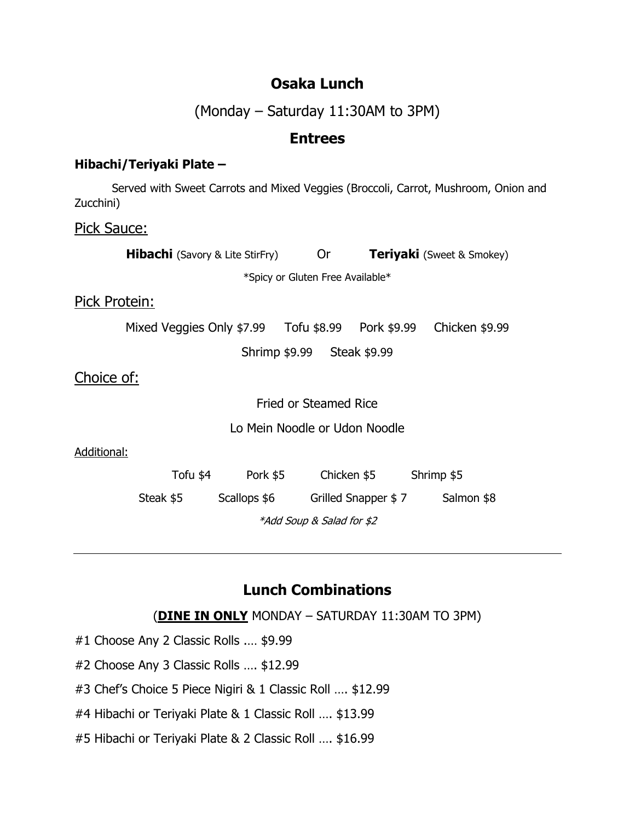## **Osaka Lunch**

(Monday – Saturday 11:30AM to 3PM)

## **Entrees**

#### **Hibachi/Teriyaki Plate –**

Served with Sweet Carrots and Mixed Veggies (Broccoli, Carrot, Mushroom, Onion and Zucchini)

#### Pick Sauce:

| <b>Hibachi</b> (Savory & Lite StirFry) |                                  | <b>Or</b>    | <b>Teriyaki</b> (Sweet & Smokey) |                     |                |  |  |  |
|----------------------------------------|----------------------------------|--------------|----------------------------------|---------------------|----------------|--|--|--|
|                                        | *Spicy or Gluten Free Available* |              |                                  |                     |                |  |  |  |
| Pick Protein:                          |                                  |              |                                  |                     |                |  |  |  |
|                                        |                                  |              |                                  |                     | Chicken \$9.99 |  |  |  |
| Shrimp \$9.99 Steak \$9.99             |                                  |              |                                  |                     |                |  |  |  |
| Choice of:                             |                                  |              |                                  |                     |                |  |  |  |
|                                        | <b>Fried or Steamed Rice</b>     |              |                                  |                     |                |  |  |  |
|                                        | Lo Mein Noodle or Udon Noodle    |              |                                  |                     |                |  |  |  |
| Additional:                            |                                  |              |                                  |                     |                |  |  |  |
|                                        | Tofu \$4                         | Pork \$5     |                                  | Chicken \$5         | Shrimp \$5     |  |  |  |
|                                        | Steak \$5                        | Scallops \$6 |                                  | Grilled Snapper \$7 | Salmon \$8     |  |  |  |
|                                        | *Add Soup & Salad for \$2        |              |                                  |                     |                |  |  |  |

# **Lunch Combinations**

(**DINE IN ONLY** MONDAY – SATURDAY 11:30AM TO 3PM)

- #1 Choose Any 2 Classic Rolls .… \$9.99
- #2 Choose Any 3 Classic Rolls …. \$12.99
- #3 Chef's Choice 5 Piece Nigiri & 1 Classic Roll …. \$12.99
- #4 Hibachi or Teriyaki Plate & 1 Classic Roll …. \$13.99
- #5 Hibachi or Teriyaki Plate & 2 Classic Roll …. \$16.99